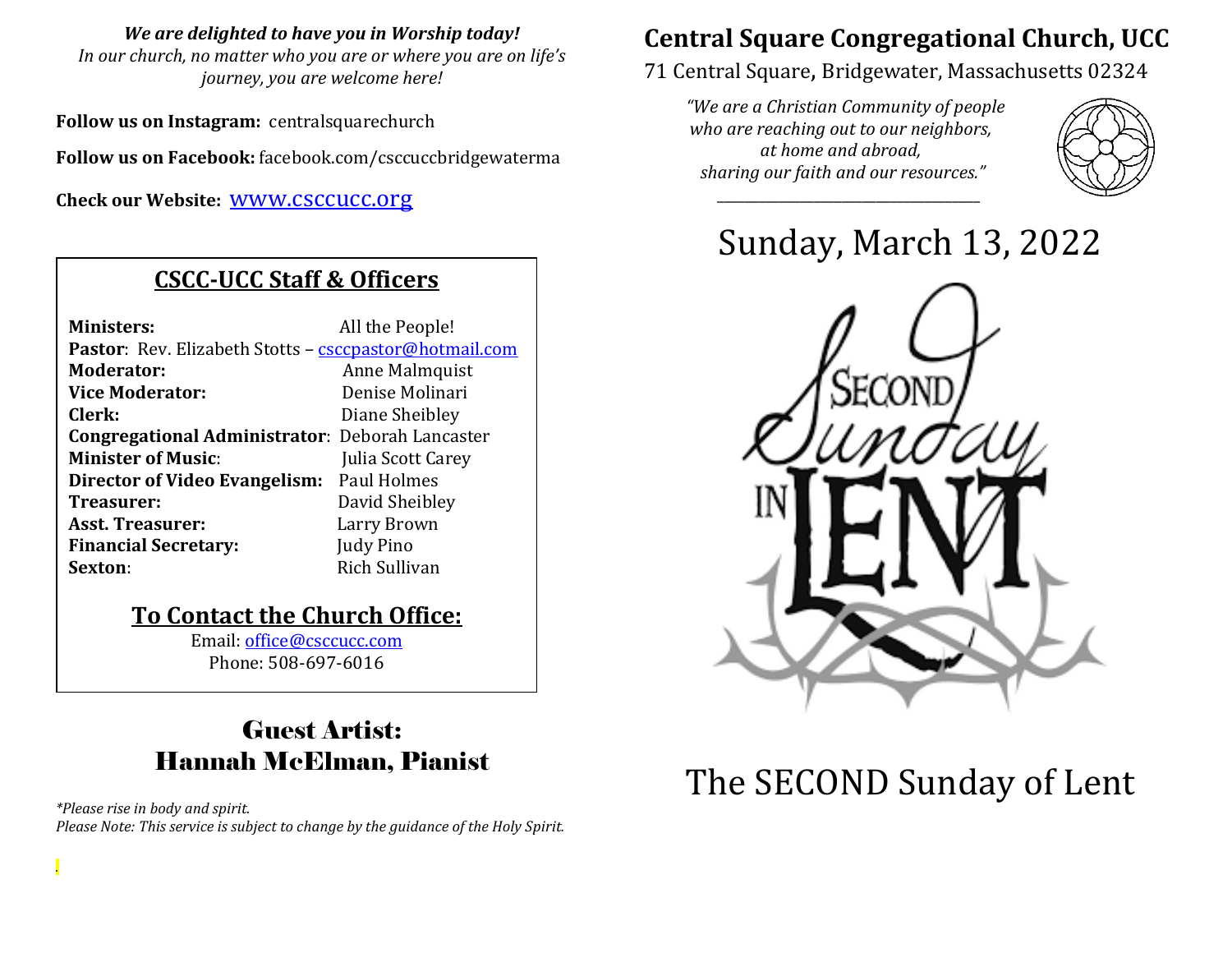#### *We are delighted to have you in Worship today!*

*In our church, no matter who you are or where you are on life's journey, you are welcome here!*

**Follow us on Instagram:** centralsquarechurch

**Follow us on Facebook:** facebook.com/csccuccbridgewaterma

**Check our Website:** [www.csccucc.org](about:blank)

### **CSCC-UCC Staff & Officers**

| <b>Ministers:</b>                                                                                                                          | All the People!                                                                                           |  |  |  |
|--------------------------------------------------------------------------------------------------------------------------------------------|-----------------------------------------------------------------------------------------------------------|--|--|--|
| Pastor: Rev. Elizabeth Stotts - csccpastor@hotmail.com                                                                                     |                                                                                                           |  |  |  |
| <b>Moderator:</b>                                                                                                                          | Anne Malmquist<br>Denise Molinari<br>Diane Sheibley<br>Julia Scott Carey<br>David Sheibley<br>Larry Brown |  |  |  |
| <b>Vice Moderator:</b>                                                                                                                     |                                                                                                           |  |  |  |
| Clerk:<br><b>Congregational Administrator: Deborah Lancaster</b><br><b>Minister of Music:</b><br>Director of Video Evangelism: Paul Holmes |                                                                                                           |  |  |  |
|                                                                                                                                            |                                                                                                           |  |  |  |
|                                                                                                                                            |                                                                                                           |  |  |  |
|                                                                                                                                            |                                                                                                           |  |  |  |
| Treasurer:                                                                                                                                 |                                                                                                           |  |  |  |
| <b>Asst. Treasurer:</b>                                                                                                                    |                                                                                                           |  |  |  |
| <b>Financial Secretary:</b>                                                                                                                | Judy Pino                                                                                                 |  |  |  |
| Sexton:                                                                                                                                    | Rich Sullivan                                                                                             |  |  |  |

### **To Contact the Church Office:**

Email: [office@csccucc.com](mailto:office@csccucc.com) Phone: 508-697-6016

## Guest Artist: Hannah McElman, Pianist

*\*Please rise in body and spirit. Please Note: This service is subject to change by the guidance of the Holy Spirit.*

*.*

# **Central Square Congregational Church, UCC**

71 Central Square, Bridgewater, Massachusetts 02324

*"We are a Christian Community of people who are reaching out to our neighbors, at home and abroad, sharing our faith and our resources."*

*\_\_\_\_\_\_\_\_\_\_\_\_\_\_\_\_\_\_\_\_\_\_\_\_\_\_\_\_\_\_\_\_\_\_\_\_\_\_*



Sunday, March 13, 2022



# The SECOND Sunday of Lent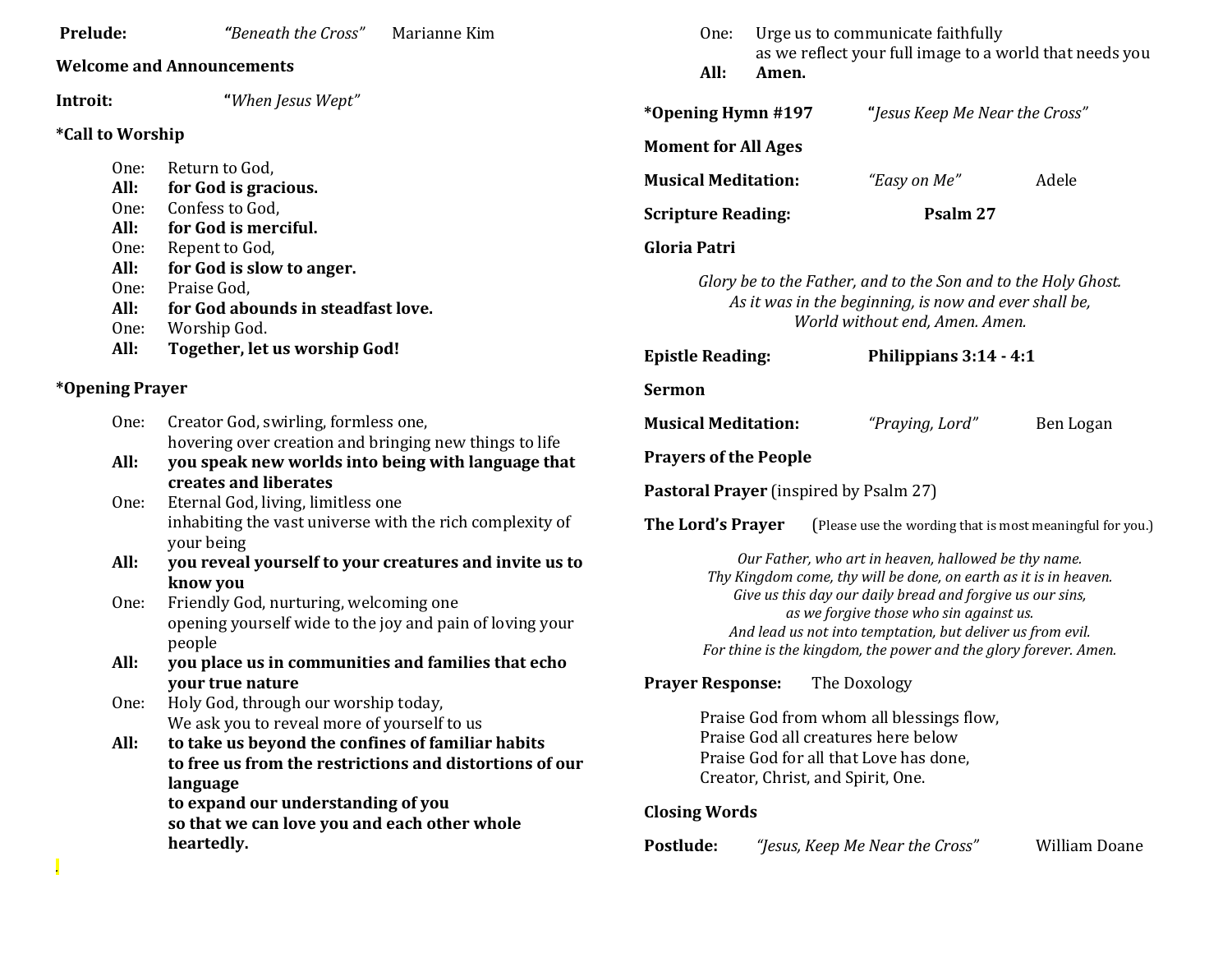| Prelude:                       | "Beneath the Cross"<br>Marianne Kim                                                                          | Urge us to communicate faithfully<br>One:<br>as we reflect your full image to a world that needs you                                                     |       |                                                            |                                |  |
|--------------------------------|--------------------------------------------------------------------------------------------------------------|----------------------------------------------------------------------------------------------------------------------------------------------------------|-------|------------------------------------------------------------|--------------------------------|--|
|                                | <b>Welcome and Announcements</b>                                                                             | All:                                                                                                                                                     | Amen. |                                                            |                                |  |
| Introit:                       | "When Jesus Wept"                                                                                            | *Opening Hymn #197                                                                                                                                       |       |                                                            | "Jesus Keep Me Near the Cross" |  |
| <i><b>*Call to Worship</b></i> |                                                                                                              |                                                                                                                                                          |       |                                                            |                                |  |
| One:                           | Return to God,                                                                                               | <b>Moment for All Ages</b>                                                                                                                               |       |                                                            |                                |  |
| All:                           | for God is gracious.                                                                                         | <b>Musical Meditation:</b>                                                                                                                               |       | "Easy on Me"                                               | Adele                          |  |
| One:                           | Confess to God,                                                                                              |                                                                                                                                                          |       |                                                            |                                |  |
| All:                           | for God is merciful.                                                                                         | <b>Scripture Reading:</b><br>Psalm 27                                                                                                                    |       |                                                            |                                |  |
| One:                           | Repent to God,                                                                                               | <b>Gloria Patri</b>                                                                                                                                      |       |                                                            |                                |  |
| All:                           | for God is slow to anger.                                                                                    |                                                                                                                                                          |       |                                                            |                                |  |
| One:                           | Praise God,                                                                                                  | Glory be to the Father, and to the Son and to the Holy Ghost.<br>As it was in the beginning, is now and ever shall be,<br>World without end, Amen. Amen. |       |                                                            |                                |  |
| All:                           | for God abounds in steadfast love.                                                                           |                                                                                                                                                          |       |                                                            |                                |  |
| One:                           | Worship God.                                                                                                 |                                                                                                                                                          |       |                                                            |                                |  |
| All:                           | Together, let us worship God!                                                                                | <b>Epistle Reading:</b>                                                                                                                                  |       |                                                            | Philippians 3:14 - 4:1         |  |
| <i><b>*Opening Prayer</b></i>  |                                                                                                              | <b>Sermon</b>                                                                                                                                            |       |                                                            |                                |  |
| One:                           | Creator God, swirling, formless one,                                                                         | <b>Musical Meditation:</b>                                                                                                                               |       | "Praying, Lord"                                            | Ben Logan                      |  |
| All:                           | hovering over creation and bringing new things to life<br>you speak new worlds into being with language that | <b>Prayers of the People</b>                                                                                                                             |       |                                                            |                                |  |
|                                | creates and liberates                                                                                        |                                                                                                                                                          |       |                                                            |                                |  |
| One:                           | Eternal God, living, limitless one                                                                           | <b>Pastoral Prayer</b> (inspired by Psalm 27)                                                                                                            |       |                                                            |                                |  |
|                                | inhabiting the vast universe with the rich complexity of                                                     | The Lord's Prayer<br>(Please use the wording that is most meaningful for you.)                                                                           |       |                                                            |                                |  |
|                                | your being                                                                                                   |                                                                                                                                                          |       |                                                            |                                |  |
| All:                           | you reveal yourself to your creatures and invite us to                                                       | Our Father, who art in heaven, hallowed be thy name.                                                                                                     |       |                                                            |                                |  |
|                                | know you                                                                                                     | Thy Kingdom come, thy will be done, on earth as it is in heaven.                                                                                         |       |                                                            |                                |  |
| One:                           | Friendly God, nurturing, welcoming one                                                                       | Give us this day our daily bread and forgive us our sins,<br>as we forgive those who sin against us.                                                     |       |                                                            |                                |  |
|                                | opening yourself wide to the joy and pain of loving your                                                     |                                                                                                                                                          |       | And lead us not into temptation, but deliver us from evil. |                                |  |
|                                | people                                                                                                       | For thine is the kingdom, the power and the glory forever. Amen.                                                                                         |       |                                                            |                                |  |
| All:                           | you place us in communities and families that echo                                                           |                                                                                                                                                          |       |                                                            |                                |  |
|                                | your true nature                                                                                             | <b>Prayer Response:</b>                                                                                                                                  |       | The Doxology                                               |                                |  |
| One:                           | Holy God, through our worship today,                                                                         | Praise God from whom all blessings flow,                                                                                                                 |       |                                                            |                                |  |
|                                | We ask you to reveal more of yourself to us                                                                  | Praise God all creatures here below                                                                                                                      |       |                                                            |                                |  |
| All:                           | to take us beyond the confines of familiar habits<br>to free us from the restrictions and distortions of our | Praise God for all that Love has done,                                                                                                                   |       |                                                            |                                |  |
|                                | language                                                                                                     | Creator, Christ, and Spirit, One.                                                                                                                        |       |                                                            |                                |  |
|                                | to expand our understanding of you                                                                           |                                                                                                                                                          |       |                                                            |                                |  |
|                                | so that we can love you and each other whole                                                                 | <b>Closing Words</b>                                                                                                                                     |       |                                                            |                                |  |
|                                | heartedly.                                                                                                   | Postlude:                                                                                                                                                |       | "Jesus, Keep Me Near the Cross"                            | <b>William Doane</b>           |  |
|                                |                                                                                                              |                                                                                                                                                          |       |                                                            |                                |  |